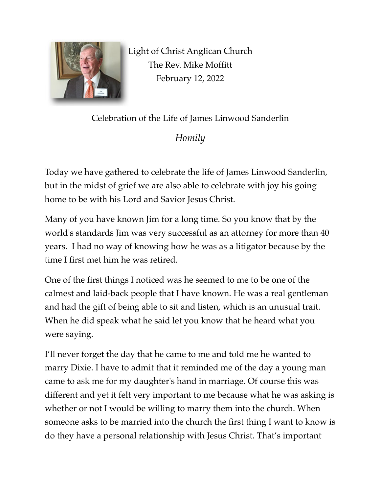

Light of Christ Anglican Church The Rev. Mike Moffitt February 12, 2022

Celebration of the Life of James Linwood Sanderlin

*Homily*

Today we have gathered to celebrate the life of James Linwood Sanderlin, but in the midst of grief we are also able to celebrate with joy his going home to be with his Lord and Savior Jesus Christ.

Many of you have known Jim for a long time. So you know that by the world's standards Jim was very successful as an attorney for more than 40 years. I had no way of knowing how he was as a litigator because by the time I first met him he was retired.

One of the first things I noticed was he seemed to me to be one of the calmest and laid-back people that I have known. He was a real gentleman and had the gift of being able to sit and listen, which is an unusual trait. When he did speak what he said let you know that he heard what you were saying.

I'll never forget the day that he came to me and told me he wanted to marry Dixie. I have to admit that it reminded me of the day a young man came to ask me for my daughter's hand in marriage. Of course this was different and yet it felt very important to me because what he was asking is whether or not I would be willing to marry them into the church. When someone asks to be married into the church the first thing I want to know is do they have a personal relationship with Jesus Christ. That's important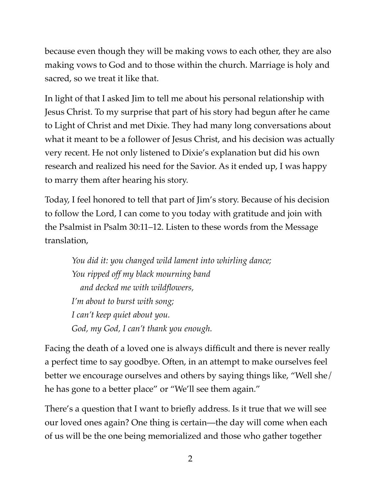because even though they will be making vows to each other, they are also making vows to God and to those within the church. Marriage is holy and sacred, so we treat it like that.

In light of that I asked Jim to tell me about his personal relationship with Jesus Christ. To my surprise that part of his story had begun after he came to Light of Christ and met Dixie. They had many long conversations about what it meant to be a follower of Jesus Christ, and his decision was actually very recent. He not only listened to Dixie's explanation but did his own research and realized his need for the Savior. As it ended up, I was happy to marry them after hearing his story.

Today, I feel honored to tell that part of Jim's story. Because of his decision to follow the Lord, I can come to you today with gratitude and join with the Psalmist in Psalm 30:11–12. Listen to these words from the Message translation,

*You did it: you changed wild lament into whirling dance; You ripped off my black mourning band and decked me with wildflowers, I'm about to burst with song; I can't keep quiet about you. God, my God, I can't thank you enough.*

Facing the death of a loved one is always difficult and there is never really a perfect time to say goodbye. Often, in an attempt to make ourselves feel better we encourage ourselves and others by saying things like, "Well she/ he has gone to a better place" or "We'll see them again."

There's a question that I want to briefly address. Is it true that we will see our loved ones again? One thing is certain—the day will come when each of us will be the one being memorialized and those who gather together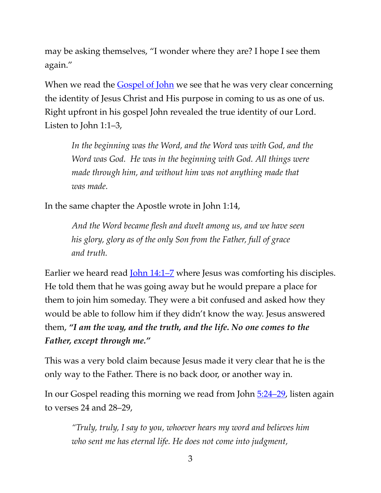may be asking themselves, "I wonder where they are? I hope I see them again."

When we read the *Gospel of John* we see that he was very clear concerning the identity of Jesus Christ and His purpose in coming to us as one of us. Right upfront in his gospel John revealed the true identity of our Lord. Listen to John 1:1–3,

*In the beginning was the Word, and the Word was with God, and the Word was God. He was in the beginning with God. All things were made through him, and without him was not anything made that was made.* 

In the same chapter the Apostle wrote in John 1:14,

*And the Word became flesh and dwelt among us, and we have seen his glory, glory as of the only Son from the Father, full of grace and truth.* 

Earlier we heard read <u>John 14:1–7</u> where Jesus was comforting his disciples. He told them that he was going away but he would prepare a place for them to join him someday. They were a bit confused and asked how they would be able to follow him if they didn't know the way. Jesus answered them, *"I am the way, and the truth, and the life. No one comes to the Father, except through me."* 

This was a very bold claim because Jesus made it very clear that he is the only way to the Father. There is no back door, or another way in.

In our Gospel reading this morning we read from John [5:24–29,](https://www.biblegateway.com/passage/?search=John+5:24%E2%80%9326&version=ESV) listen again to verses 24 and 28–29,

*"Truly, truly, I say to you, whoever hears my word and believes him who sent me has eternal life. He does not come into judgment,*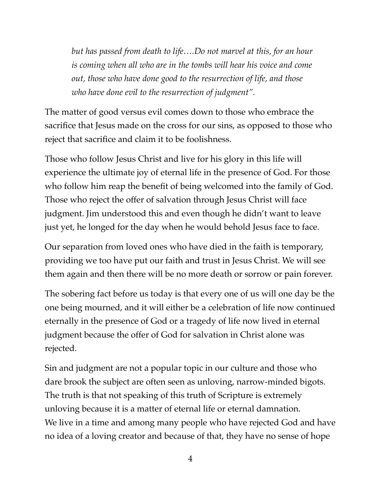*but has passed from death to life….Do not marvel at this, for an hour is coming when all who are in the tombs will hear his voice and come out, those who have done good to the resurrection of life, and those who have done evil to the resurrection of judgment".* 

The matter of good versus evil comes down to those who embrace the sacrifice that Jesus made on the cross for our sins, as opposed to those who reject that sacrifice and claim it to be foolishness.

Those who follow Jesus Christ and live for his glory in this life will experience the ultimate joy of eternal life in the presence of God. For those who follow him reap the benefit of being welcomed into the family of God. Those who reject the offer of salvation through Jesus Christ will face judgment. Jim understood this and even though he didn't want to leave just yet, he longed for the day when he would behold Jesus face to face.

Our separation from loved ones who have died in the faith is temporary, providing we too have put our faith and trust in Jesus Christ. We will see them again and then there will be no more death or sorrow or pain forever.

The sobering fact before us today is that every one of us will one day be the one being mourned, and it will either be a celebration of life now continued eternally in the presence of God or a tragedy of life now lived in eternal judgment because the offer of God for salvation in Christ alone was rejected.

Sin and judgment are not a popular topic in our culture and those who dare brook the subject are often seen as unloving, narrow-minded bigots. The truth is that not speaking of this truth of Scripture is extremely unloving because it is a matter of eternal life or eternal damnation. We live in a time and among many people who have rejected God and have no idea of a loving creator and because of that, they have no sense of hope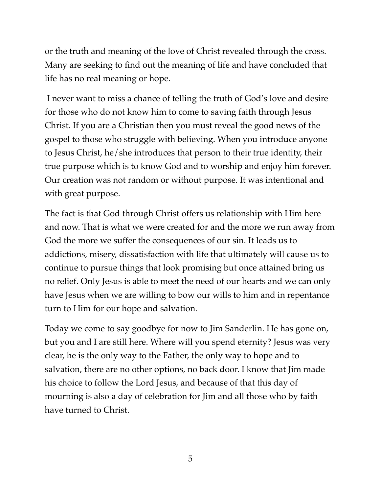or the truth and meaning of the love of Christ revealed through the cross. Many are seeking to find out the meaning of life and have concluded that life has no real meaning or hope.

 I never want to miss a chance of telling the truth of God's love and desire for those who do not know him to come to saving faith through Jesus Christ. If you are a Christian then you must reveal the good news of the gospel to those who struggle with believing. When you introduce anyone to Jesus Christ, he/she introduces that person to their true identity, their true purpose which is to know God and to worship and enjoy him forever. Our creation was not random or without purpose. It was intentional and with great purpose.

The fact is that God through Christ offers us relationship with Him here and now. That is what we were created for and the more we run away from God the more we suffer the consequences of our sin. It leads us to addictions, misery, dissatisfaction with life that ultimately will cause us to continue to pursue things that look promising but once attained bring us no relief. Only Jesus is able to meet the need of our hearts and we can only have Jesus when we are willing to bow our wills to him and in repentance turn to Him for our hope and salvation.

Today we come to say goodbye for now to Jim Sanderlin. He has gone on, but you and I are still here. Where will you spend eternity? Jesus was very clear, he is the only way to the Father, the only way to hope and to salvation, there are no other options, no back door. I know that Jim made his choice to follow the Lord Jesus, and because of that this day of mourning is also a day of celebration for Jim and all those who by faith have turned to Christ.